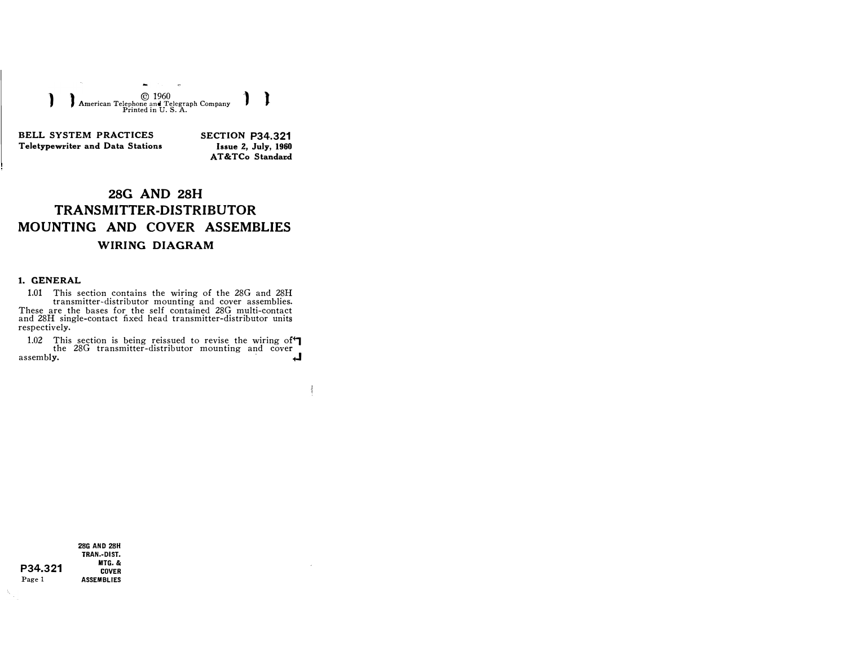) ) © <sup>1960</sup>) l American Telephone and Telegraph Company Printed in U.S. A.

BELL SYSTEM PRACTICES Teletypewriter and Data Stations SECTION P34.321 Issue 2, July, 1960 AT&TCo Standard

مدده

## 28G AND 28H TRANSMITTER-DISTRIBUTOR MOUNTING AND COVER ASSEMBLIES WIRING DIAGRAM

## 1. GENERAL

1.01 This section contains the wiring of the 28G and 28H transmitter-distributor mounting and cover assemblies. These are the bases for the self contained 28G multi-contact and 28H single-contact fixed head transmitter-distributor units respectively.

1.02 This section is being reissued to revise the wiring of  $\blacksquare$ the 28G transmitter-distributor mounting and cover assembly.

P34.321 Page 1 28G AND 28H TRAN.-DIST. MTG.& COVER **ASSEMBLIES** 

Ų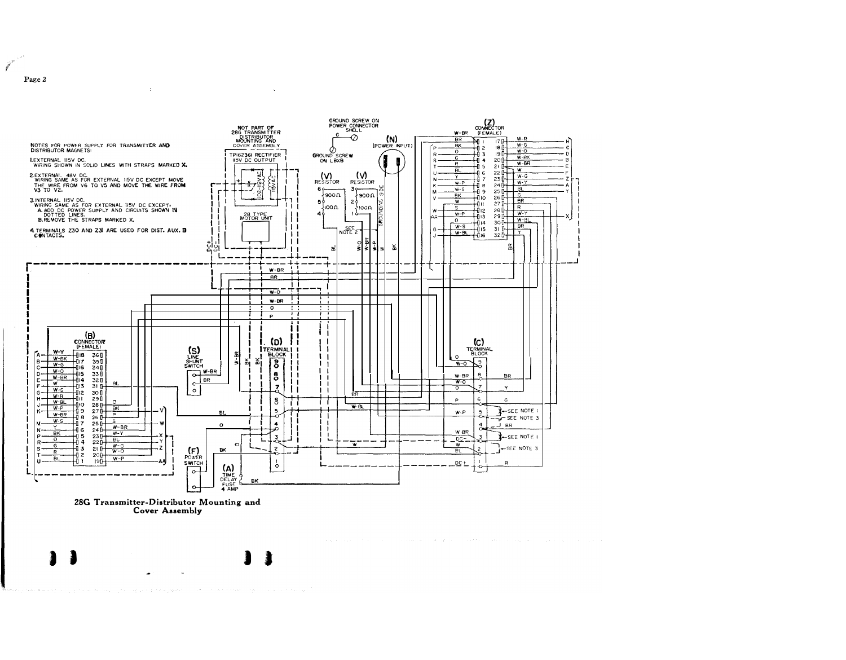

28G Transmitter-Distributor Mounting and **Cover Assembly** 

 $\pm$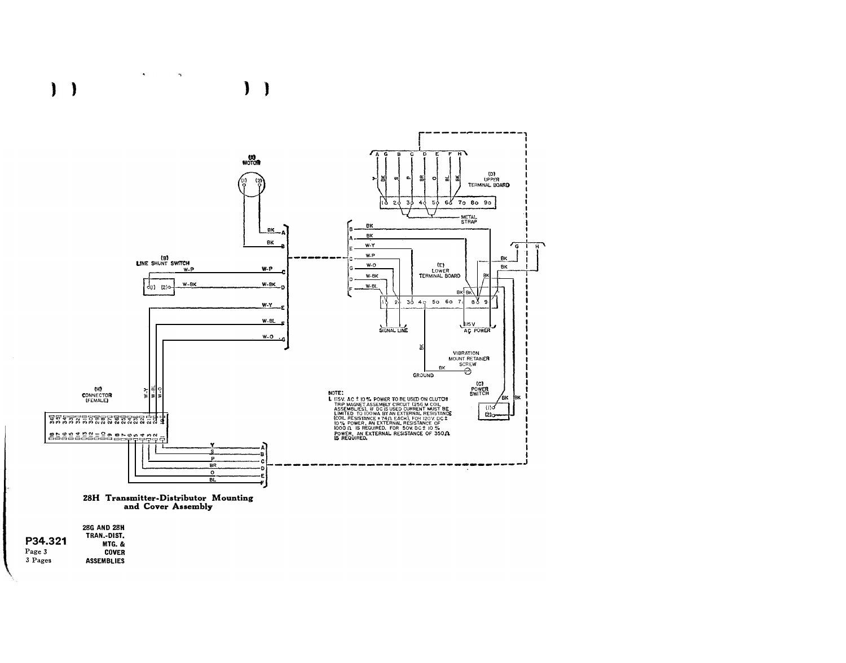



 $\mathbf{A}^{\top}$ 

 $\mathcal{A}$ 

|         | 28G AND 28H       |
|---------|-------------------|
|         | TRAN.-DIST.       |
| P34.321 | MTG. &            |
| Page 3  | <b>COVER</b>      |
| 3 Pages | <b>ASSEMBLIES</b> |